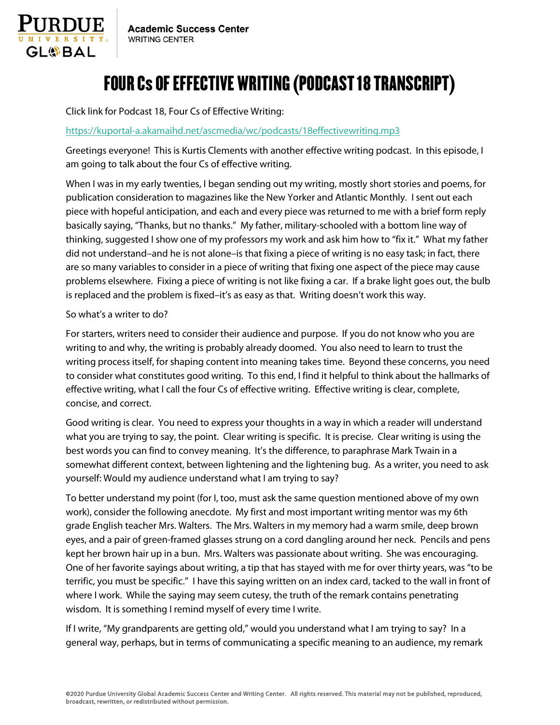

## FOUR Cs OF EFFECTIVE WRITING (PODCAST 18 TRANSCRIPT)

Click link for Podcast 18, Four Cs of Effective Writing:

## <https://kuportal-a.akamaihd.net/ascmedia/wc/podcasts/18effectivewriting.mp3>

Greetings everyone! This is Kurtis Clements with another effective writing podcast. In this episode, I am going to talk about the four Cs of effective writing.

When I was in my early twenties, I began sending out my writing, mostly short stories and poems, for publication consideration to magazines like the New Yorker and Atlantic Monthly. I sent out each piece with hopeful anticipation, and each and every piece was returned to me with a brief form reply basically saying, "Thanks, but no thanks." My father, military-schooled with a bottom line way of thinking, suggested I show one of my professors my work and ask him how to "fix it." What my father did not understand–and he is not alone–is that fixing a piece of writing is no easy task; in fact, there are so many variables to consider in a piece of writing that fixing one aspect of the piece may cause problems elsewhere. Fixing a piece of writing is not like fixing a car. If a brake light goes out, the bulb is replaced and the problem is fixed–it's as easy as that. Writing doesn't work this way.

## So what's a writer to do?

For starters, writers need to consider their audience and purpose. If you do not know who you are writing to and why, the writing is probably already doomed. You also need to learn to trust the writing process itself, for shaping content into meaning takes time. Beyond these concerns, you need to consider what constitutes good writing. To this end, I find it helpful to think about the hallmarks of effective writing, what I call the four Cs of effective writing. Effective writing is clear, complete, concise, and correct.

Good writing is clear. You need to express your thoughts in a way in which a reader will understand what you are trying to say, the point. Clear writing is specific. It is precise. Clear writing is using the best words you can find to convey meaning. It's the difference, to paraphrase Mark Twain in a somewhat different context, between lightening and the lightening bug. As a writer, you need to ask yourself: Would my audience understand what I am trying to say?

To better understand my point (for I, too, must ask the same question mentioned above of my own work), consider the following anecdote. My first and most important writing mentor was my 6th grade English teacher Mrs. Walters. The Mrs. Walters in my memory had a warm smile, deep brown eyes, and a pair of green-framed glasses strung on a cord dangling around her neck. Pencils and pens kept her brown hair up in a bun. Mrs. Walters was passionate about writing. She was encouraging. One of her favorite sayings about writing, a tip that has stayed with me for over thirty years, was "to be terrific, you must be specific." I have this saying written on an index card, tacked to the wall in front of where I work. While the saying may seem cutesy, the truth of the remark contains penetrating wisdom. It is something I remind myself of every time I write.

If I write, "My grandparents are getting old," would you understand what I am trying to say? In a general way, perhaps, but in terms of communicating a specific meaning to an audience, my remark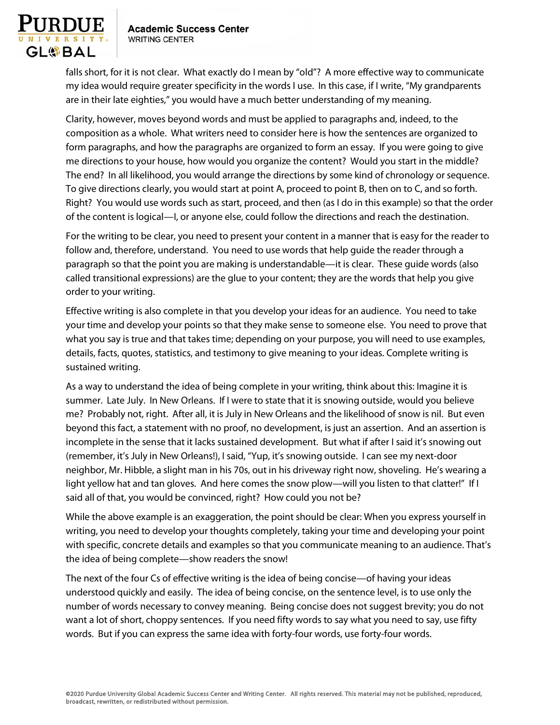

falls short, for it is not clear. What exactly do I mean by "old"? A more effective way to communicate my idea would require greater specificity in the words I use. In this case, if I write, "My grandparents are in their late eighties," you would have a much better understanding of my meaning.

Clarity, however, moves beyond words and must be applied to paragraphs and, indeed, to the composition as a whole. What writers need to consider here is how the sentences are organized to form paragraphs, and how the paragraphs are organized to form an essay. If you were going to give me directions to your house, how would you organize the content? Would you start in the middle? The end? In all likelihood, you would arrange the directions by some kind of chronology or sequence. To give directions clearly, you would start at point A, proceed to point B, then on to C, and so forth. Right? You would use words such as start, proceed, and then (as I do in this example) so that the order of the content is logical—I, or anyone else, could follow the directions and reach the destination.

For the writing to be clear, you need to present your content in a manner that is easy for the reader to follow and, therefore, understand. You need to use words that help guide the reader through a paragraph so that the point you are making is understandable—it is clear. These guide words (also called transitional expressions) are the glue to your content; they are the words that help you give order to your writing.

Effective writing is also complete in that you develop your ideas for an audience. You need to take your time and develop your points so that they make sense to someone else. You need to prove that what you say is true and that takes time; depending on your purpose, you will need to use examples, details, facts, quotes, statistics, and testimony to give meaning to your ideas. Complete writing is sustained writing.

As a way to understand the idea of being complete in your writing, think about this: Imagine it is summer. Late July. In New Orleans. If I were to state that it is snowing outside, would you believe me? Probably not, right. After all, it is July in New Orleans and the likelihood of snow is nil. But even beyond this fact, a statement with no proof, no development, is just an assertion. And an assertion is incomplete in the sense that it lacks sustained development. But what if after I said it's snowing out (remember, it's July in New Orleans!), I said, "Yup, it's snowing outside. I can see my next-door neighbor, Mr. Hibble, a slight man in his 70s, out in his driveway right now, shoveling. He's wearing a light yellow hat and tan gloves. And here comes the snow plow—will you listen to that clatter!" If I said all of that, you would be convinced, right? How could you not be?

While the above example is an exaggeration, the point should be clear: When you express yourself in writing, you need to develop your thoughts completely, taking your time and developing your point with specific, concrete details and examples so that you communicate meaning to an audience. That's the idea of being complete—show readers the snow!

The next of the four Cs of effective writing is the idea of being concise—of having your ideas understood quickly and easily. The idea of being concise, on the sentence level, is to use only the number of words necessary to convey meaning. Being concise does not suggest brevity; you do not want a lot of short, choppy sentences. If you need fifty words to say what you need to say, use fifty words. But if you can express the same idea with forty-four words, use forty-four words.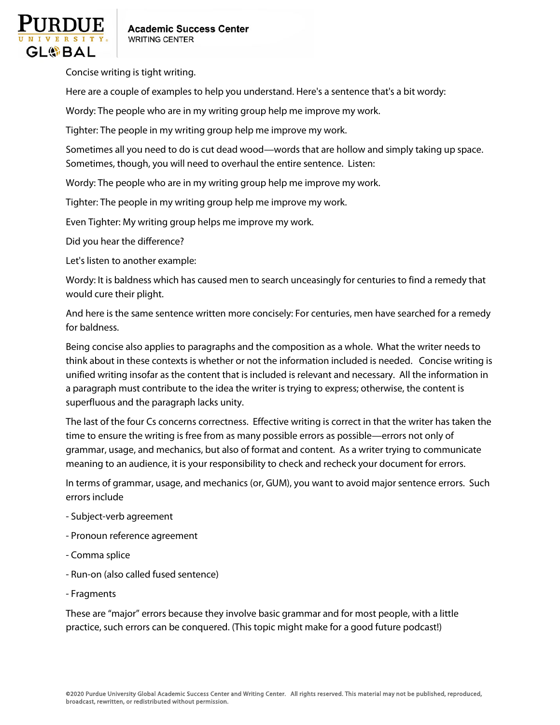

Concise writing is tight writing.

Here are a couple of examples to help you understand. Here's a sentence that's a bit wordy:

Wordy: The people who are in my writing group help me improve my work.

Tighter: The people in my writing group help me improve my work.

Sometimes all you need to do is cut dead wood—words that are hollow and simply taking up space. Sometimes, though, you will need to overhaul the entire sentence. Listen:

Wordy: The people who are in my writing group help me improve my work.

Tighter: The people in my writing group help me improve my work.

Even Tighter: My writing group helps me improve my work.

Did you hear the difference?

Let's listen to another example:

Wordy: It is baldness which has caused men to search unceasingly for centuries to find a remedy that would cure their plight.

And here is the same sentence written more concisely: For centuries, men have searched for a remedy for baldness.

Being concise also applies to paragraphs and the composition as a whole. What the writer needs to think about in these contexts is whether or not the information included is needed. Concise writing is unified writing insofar as the content that is included is relevant and necessary. All the information in a paragraph must contribute to the idea the writer is trying to express; otherwise, the content is superfluous and the paragraph lacks unity.

The last of the four Cs concerns correctness. Effective writing is correct in that the writer has taken the time to ensure the writing is free from as many possible errors as possible—errors not only of grammar, usage, and mechanics, but also of format and content. As a writer trying to communicate meaning to an audience, it is your responsibility to check and recheck your document for errors.

In terms of grammar, usage, and mechanics (or, GUM), you want to avoid major sentence errors. Such errors include

- Subject-verb agreement
- Pronoun reference agreement
- Comma splice
- Run-on (also called fused sentence)
- Fragments

These are "major" errors because they involve basic grammar and for most people, with a little practice, such errors can be conquered. (This topic might make for a good future podcast!)